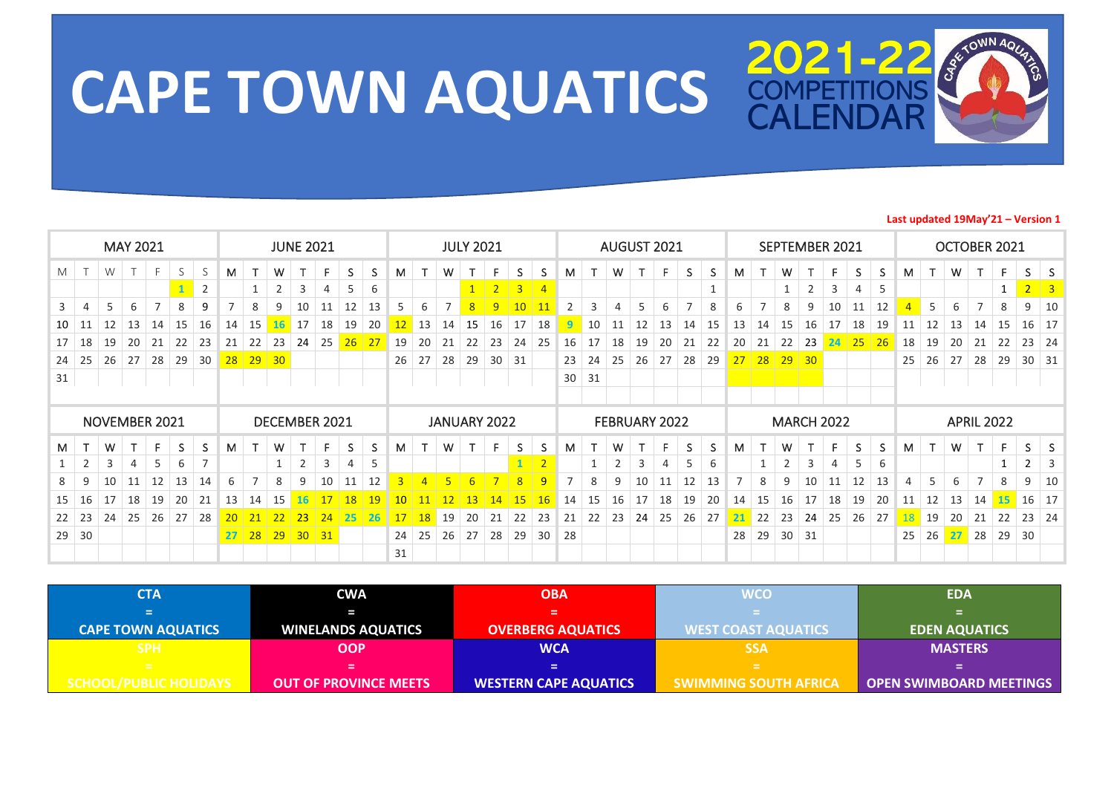

## **CAPE TOWN AQUATICS 2021-22**

## **Last updated 19May'21 – Version 1**

|                |        |    | <b>MAY 2021</b> |                |    |                |    |                |                |                | <b>JUNE 2021</b> |    |    |                 |                |                | <b>JULY 2021</b> |                |                |                |                |              |                |    | AUGUST 2021   |    |    |    |         |                |    | SEPTEMBER 2021    |    |    |    |    |    | OCTOBER 2021      |    |                |                         |
|----------------|--------|----|-----------------|----------------|----|----------------|----|----------------|----------------|----------------|------------------|----|----|-----------------|----------------|----------------|------------------|----------------|----------------|----------------|----------------|--------------|----------------|----|---------------|----|----|----|---------|----------------|----|-------------------|----|----|----|----|----|-------------------|----|----------------|-------------------------|
| M              | $\top$ | W  |                 | F.             | S  | S              | м  | T              | W              |                | F                | S  | S. | м               | T              | W              |                  | F              | S.             | S.             | M              |              | W              | Ŧ  | F.            | S  | S. | М  |         | W              |    | F.                | S  | S. | M  | T. | W  | T                 | F. | S.             | <sub>S</sub>            |
|                |        |    |                 |                |    | $\overline{2}$ |    |                | $\overline{2}$ | 3              | 4                |    | 6  |                 |                |                | 1                | 2 <sup>2</sup> | 3 <sup>1</sup> | $\overline{4}$ |                |              |                |    |               |    |    |    |         |                | 2  | 3                 | 4  | 5  |    |    |    |                   |    | $\overline{2}$ | $\overline{\mathbf{3}}$ |
| $\overline{3}$ | 4      | 5  | 6               | $\overline{7}$ | 8  | 9              |    | 8              | 9              | 10             | 11               | 12 | 13 | 5               | 6              |                | 8                | 9              | 10             | 11             | 2              | 3            | 4              | 5  | 6             |    | 8  | 6  |         | 8              | 9  | 10                | 11 | 12 |    | 5  | 6  | $\overline{ }$    | 8  | 9              | 10                      |
| 10             | 11     | 12 | 13              | 14             | 15 | 16             | 14 | 15             | <b>16</b>      | 17             | 18               | 19 | 20 | 12              | 13             | 14             | 15               | 16             | 17             | 18             | 9              | 10           | 11             | 12 | 13            | 14 | 15 | 13 | 14      | 15             | 16 | 17                | 18 | 19 | 11 | 12 | 13 | 14                | 15 | 16             | 17                      |
| 17             | 18     | 19 | 20              | 21             | 22 | 23             | 21 | 22             | 23             | 24             | 25               | 26 | 27 | 19              | 20             | 21             | 22               | 23             | 24             | 25             | 16             | 17           | 18             | 19 | 20            | 21 | 22 | 20 | 21      | 22             | 23 | 24                | 25 | 26 | 18 | 19 | 20 | 21                | 22 | 23             | 24                      |
| 24             | 25     | 26 | 27              | 28             | 29 | 30             | 28 | 29             | 30             |                |                  |    |    | 26              | 27             | 28             | 29               | 30             | 31             |                | 23             | 24           | 25             | 26 | 27            | 28 | 29 |    | $27$ 28 | 29             | 30 |                   |    |    | 25 | 26 | 27 | 28                | 29 | 30             | 31                      |
| 31             |        |    |                 |                |    |                |    |                |                |                |                  |    |    |                 |                |                |                  |                |                |                | 30             | 31           |                |    |               |    |    |    |         |                |    |                   |    |    |    |    |    |                   |    |                |                         |
|                |        |    |                 |                |    |                |    |                |                |                |                  |    |    |                 |                |                |                  |                |                |                |                |              |                |    |               |    |    |    |         |                |    |                   |    |    |    |    |    |                   |    |                |                         |
|                |        |    |                 | NOVEMBER 2021  |    |                |    |                | DECEMBER 2021  |                |                  |    |    |                 |                |                |                  | JANUARY 2022   |                |                |                |              |                |    | FEBRUARY 2022 |    |    |    |         |                |    | <b>MARCH 2022</b> |    |    |    |    |    | <b>APRIL 2022</b> |    |                |                         |
| M              |        | W  |                 | F.             | S. | S              | M  | T              | W              |                | F.               | S. | S  | M               | т              | W              | т                | F              | S.             | S.             | M              |              | W              |    | F.            | S  | S. | М  |         | W              |    | F.                | S  | S  | M  | T. | W  | T                 | F. | S.             | <sub>S</sub>            |
|                | 2      | 3  | 4               | 5              | 6  | $\overline{7}$ |    |                |                | $\overline{2}$ | 3                | 4  | 5  |                 |                |                |                  |                | $\mathbf{1}$   | $\overline{2}$ |                | $\mathbf{1}$ | $\overline{2}$ | 3  | 4             | 5  | 6  |    |         | $\overline{2}$ | 3  | 4                 | 5  | 6  |    |    |    |                   |    | $\overline{2}$ | 3                       |
| 8              | 9      | 10 | 11              | 12             | 13 | 14             | 6  | $\overline{7}$ | 8              | 9              | 10               | 11 | 12 | $3-1$           | $\overline{4}$ | $5\phantom{1}$ | 6                | 7 <sup>7</sup> | 8              | 9              | $\overline{7}$ | 8            | 9              | 10 | 11            | 12 | 13 | 7  | 8       | 9              | 10 | 11                | 12 | 13 | 4  | 5  | 6  |                   | 8  | 9              | 10                      |
| 15             | 16     | 17 | 18              | 19             | 20 | 21             | 13 | 14             | 15             | 16             | 17               | 18 | 19 | 10 <sup>°</sup> | 11             | 12             | 13               | 14             | 15             | 16             | 14             | 15           | 16             | 17 | 18            | 19 | 20 | 14 | 15      | 16             | 17 | 18                | 19 | 20 | 11 | 12 | 13 | 14                | 15 | 16             | 17                      |
| 22             | 23     | 24 | 25              | 26             | 27 | 28             | 20 | 21             | 22             | 23             | 24               | 25 | 26 | 17              | <b>18</b>      | 19             | 20               | 21             | 22             | 23             | 21             | 22           | 23             | 24 | 25            | 26 | 27 | 21 | 22      | 23             | 24 | 25                | 26 | 27 | 18 | 19 | 20 | 21                | 22 | 23             | 24                      |
| 29             | 30     |    |                 |                |    |                | 27 | 28             |                | $29$ 30 31     |                  |    |    | 24              | 25             | 26             | 27               | 28             | 29             | 30             | 28             |              |                |    |               |    |    | 28 | 29      | 30             | 31 |                   |    |    | 25 | 26 | 27 | 28                | 29 | 30             |                         |
|                |        |    |                 |                |    |                |    |                |                |                |                  |    |    | 31              |                |                |                  |                |                |                |                |              |                |    |               |    |    |    |         |                |    |                   |    |    |    |    |    |                   |    |                |                         |

| СТА                            | <b>CWA</b>                   | <b>OBA</b>                   | <b>WCO</b>                   | <b>EDA</b>                     |
|--------------------------------|------------------------------|------------------------------|------------------------------|--------------------------------|
| е                              |                              |                              |                              |                                |
| <b>CAPE TOWN AQUATICS</b>      | <b>WINELANDS AQUATICS</b>    | <b>OVERBERG AQUATICS</b>     | <b>WEST COAST AQUATICS</b>   | <b>EDEN AQUATICS</b>           |
| <b>SPH</b>                     | OOP                          | <b>WCA</b>                   | <b>SSA</b>                   | <b>MASTERS</b>                 |
| <b>EXECUT</b>                  | =                            |                              | $=$                          | =                              |
| <u>SCHOO</u> L/PUBLIC HOLIDAYS | <b>OUT OF PROVINCE MEETS</b> | <b>WESTERN CAPE AQUATICS</b> | <b>SWIMMING SOUTH AFRICA</b> | <b>OPEN SWIMBOARD MEETINGS</b> |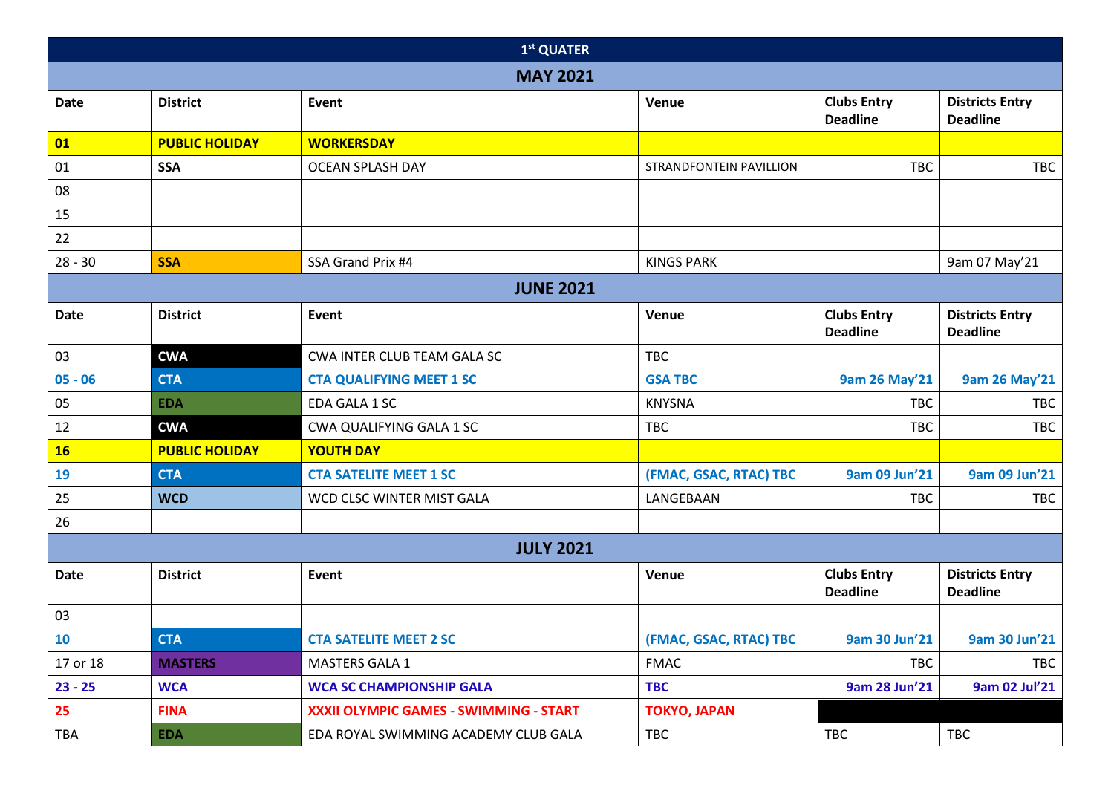|             |                       | 1st QUATER                             |                         |                                       |                                           |
|-------------|-----------------------|----------------------------------------|-------------------------|---------------------------------------|-------------------------------------------|
|             |                       | <b>MAY 2021</b>                        |                         |                                       |                                           |
| <b>Date</b> | <b>District</b>       | Event                                  | Venue                   | <b>Clubs Entry</b><br><b>Deadline</b> | <b>Districts Entry</b><br><b>Deadline</b> |
| 01          | <b>PUBLIC HOLIDAY</b> | <b>WORKERSDAY</b>                      |                         |                                       |                                           |
| $01\,$      | <b>SSA</b>            | <b>OCEAN SPLASH DAY</b>                | STRANDFONTEIN PAVILLION | <b>TBC</b>                            | <b>TBC</b>                                |
| ${\bf 08}$  |                       |                                        |                         |                                       |                                           |
| 15          |                       |                                        |                         |                                       |                                           |
| 22          |                       |                                        |                         |                                       |                                           |
| $28 - 30$   | <b>SSA</b>            | SSA Grand Prix #4                      | <b>KINGS PARK</b>       |                                       | 9am 07 May'21                             |
|             |                       | <b>JUNE 2021</b>                       |                         |                                       |                                           |
| <b>Date</b> | <b>District</b>       | Event                                  | Venue                   | <b>Clubs Entry</b><br><b>Deadline</b> | <b>Districts Entry</b><br><b>Deadline</b> |
| 03          | <b>CWA</b>            | CWA INTER CLUB TEAM GALA SC            | <b>TBC</b>              |                                       |                                           |
| $05 - 06$   | <b>CTA</b>            | <b>CTA QUALIFYING MEET 1 SC</b>        | <b>GSA TBC</b>          | 9am 26 May'21                         | <b>9am 26 May'21</b>                      |
| 05          | <b>EDA</b>            | EDA GALA 1 SC                          | <b>KNYSNA</b>           | <b>TBC</b>                            | TBC                                       |
| 12          | <b>CWA</b>            | CWA QUALIFYING GALA 1 SC               | TBC                     | <b>TBC</b>                            | <b>TBC</b>                                |
| <b>16</b>   | <b>PUBLIC HOLIDAY</b> | <b>YOUTH DAY</b>                       |                         |                                       |                                           |
| 19          | <b>CTA</b>            | <b>CTA SATELITE MEET 1 SC</b>          | (FMAC, GSAC, RTAC) TBC  | 9am 09 Jun'21                         | 9am 09 Jun'21                             |
| 25          | <b>WCD</b>            | WCD CLSC WINTER MIST GALA              | LANGEBAAN               | <b>TBC</b>                            | <b>TBC</b>                                |
| 26          |                       |                                        |                         |                                       |                                           |
|             |                       | <b>JULY 2021</b>                       |                         |                                       |                                           |
| <b>Date</b> | <b>District</b>       | Event                                  | Venue                   | <b>Clubs Entry</b><br><b>Deadline</b> | <b>Districts Entry</b><br><b>Deadline</b> |
| 03          |                       |                                        |                         |                                       |                                           |
| <b>10</b>   | <b>CTA</b>            | <b>CTA SATELITE MEET 2 SC</b>          | (FMAC, GSAC, RTAC) TBC  | 9am 30 Jun'21                         | 9am 30 Jun'21                             |
| 17 or 18    | <b>MASTERS</b>        | <b>MASTERS GALA 1</b>                  | <b>FMAC</b>             | <b>TBC</b>                            | TBC                                       |
| $23 - 25$   | <b>WCA</b>            | <b>WCA SC CHAMPIONSHIP GALA</b>        | <b>TBC</b>              | 9am 28 Jun'21                         | 9am 02 Jul'21                             |
| 25          | <b>FINA</b>           | XXXII OLYMPIC GAMES - SWIMMING - START | <b>TOKYO, JAPAN</b>     |                                       |                                           |
| TBA         | <b>EDA</b>            | EDA ROYAL SWIMMING ACADEMY CLUB GALA   | <b>TBC</b>              | TBC                                   | TBC                                       |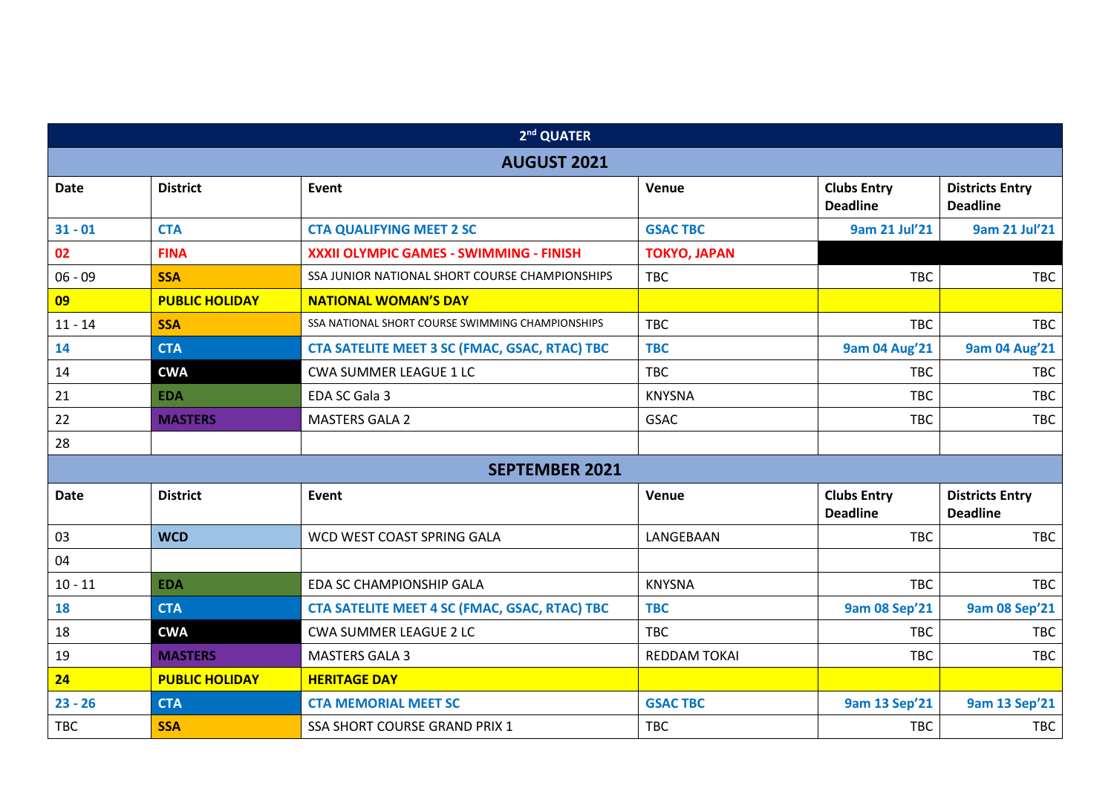|             |                       | 2 <sup>nd</sup> QUATER                           |                     |                                       |                                           |
|-------------|-----------------------|--------------------------------------------------|---------------------|---------------------------------------|-------------------------------------------|
|             |                       | <b>AUGUST 2021</b>                               |                     |                                       |                                           |
| <b>Date</b> | <b>District</b>       | Event                                            | Venue               | <b>Clubs Entry</b><br><b>Deadline</b> | <b>Districts Entry</b><br><b>Deadline</b> |
| $31 - 01$   | <b>CTA</b>            | <b>CTA QUALIFYING MEET 2 SC</b>                  | <b>GSAC TBC</b>     | 9am 21 Jul'21                         | 9am 21 Jul'21                             |
| 02          | <b>FINA</b>           | XXXII OLYMPIC GAMES - SWIMMING - FINISH          | <b>TOKYO, JAPAN</b> |                                       |                                           |
| $06 - 09$   | <b>SSA</b>            | SSA JUNIOR NATIONAL SHORT COURSE CHAMPIONSHIPS   | <b>TBC</b>          | <b>TBC</b>                            | <b>TBC</b>                                |
| 09          | <b>PUBLIC HOLIDAY</b> | <b>NATIONAL WOMAN'S DAY</b>                      |                     |                                       |                                           |
| $11 - 14$   | <b>SSA</b>            | SSA NATIONAL SHORT COURSE SWIMMING CHAMPIONSHIPS | <b>TBC</b>          | <b>TBC</b>                            | <b>TBC</b>                                |
| 14          | <b>CTA</b>            | CTA SATELITE MEET 3 SC (FMAC, GSAC, RTAC) TBC    | <b>TBC</b>          | <b>9am 04 Aug'21</b>                  | <b>9am 04 Aug'21</b>                      |
| 14          | <b>CWA</b>            | <b>CWA SUMMER LEAGUE 1 LC</b>                    | <b>TBC</b>          | <b>TBC</b>                            | <b>TBC</b>                                |
| 21          | <b>EDA</b>            | EDA SC Gala 3                                    | <b>KNYSNA</b>       | <b>TBC</b>                            | <b>TBC</b>                                |
| 22          | <b>MASTERS</b>        | <b>MASTERS GALA 2</b>                            | <b>GSAC</b>         | <b>TBC</b>                            | <b>TBC</b>                                |
| 28          |                       |                                                  |                     |                                       |                                           |
|             |                       | <b>SEPTEMBER 2021</b>                            |                     |                                       |                                           |
| <b>Date</b> | <b>District</b>       | Event                                            | Venue               | <b>Clubs Entry</b><br><b>Deadline</b> | <b>Districts Entry</b><br><b>Deadline</b> |
| 03          | <b>WCD</b>            | WCD WEST COAST SPRING GALA                       | LANGEBAAN           | <b>TBC</b>                            | <b>TBC</b>                                |
| 04          |                       |                                                  |                     |                                       |                                           |
| $10 - 11$   | <b>EDA</b>            | EDA SC CHAMPIONSHIP GALA                         | <b>KNYSNA</b>       | <b>TBC</b>                            | <b>TBC</b>                                |
| 18          | <b>CTA</b>            | CTA SATELITE MEET 4 SC (FMAC, GSAC, RTAC) TBC    | <b>TBC</b>          | <b>9am 08 Sep'21</b>                  | <b>9am 08 Sep'21</b>                      |
| 18          | <b>CWA</b>            | <b>CWA SUMMER LEAGUE 2 LC</b>                    | <b>TBC</b>          | <b>TBC</b>                            | <b>TBC</b>                                |
| 19          | <b>MASTERS</b>        | <b>MASTERS GALA 3</b>                            | <b>REDDAM TOKAI</b> | <b>TBC</b>                            | <b>TBC</b>                                |
| 24          | <b>PUBLIC HOLIDAY</b> | <b>HERITAGE DAY</b>                              |                     |                                       |                                           |
| $23 - 26$   | <b>CTA</b>            | <b>CTA MEMORIAL MEET SC</b>                      | <b>GSAC TBC</b>     | 9am 13 Sep'21                         | 9am 13 Sep'21                             |
| <b>TBC</b>  | <b>SSA</b>            | <b>SSA SHORT COURSE GRAND PRIX 1</b>             | <b>TBC</b>          | <b>TBC</b>                            | <b>TBC</b>                                |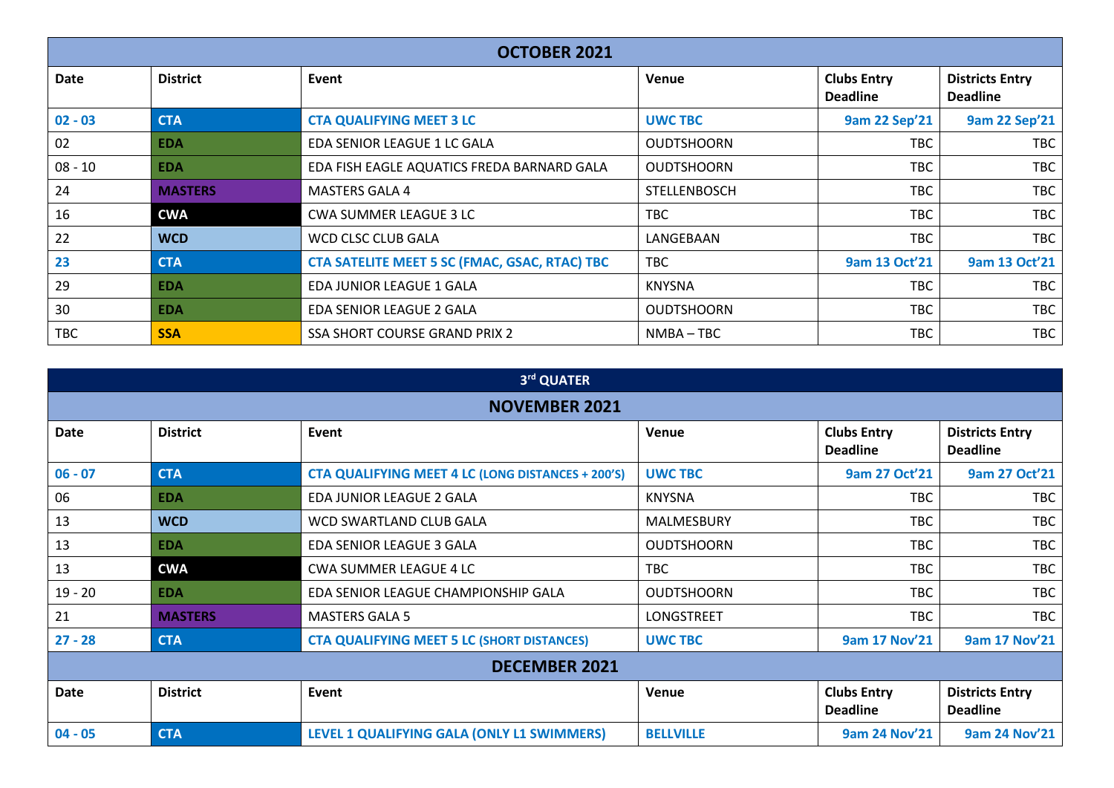|             | <b>OCTOBER 2021</b> |                                                      |                     |                                       |                                           |  |  |  |  |  |  |  |
|-------------|---------------------|------------------------------------------------------|---------------------|---------------------------------------|-------------------------------------------|--|--|--|--|--|--|--|
| <b>Date</b> | <b>District</b>     | Event                                                | Venue               | <b>Clubs Entry</b><br><b>Deadline</b> | <b>Districts Entry</b><br><b>Deadline</b> |  |  |  |  |  |  |  |
| $02 - 03$   | <b>CTA</b>          | <b>CTA QUALIFYING MEET 3 LC</b>                      | <b>UWC TBC</b>      | <b>9am 22 Sep'21</b>                  | <b>9am 22 Sep'21</b>                      |  |  |  |  |  |  |  |
| 02          | <b>EDA</b>          | EDA SENIOR LEAGUE 1 LC GALA                          | <b>OUDTSHOORN</b>   | <b>TBC</b>                            | <b>TBC</b>                                |  |  |  |  |  |  |  |
| $08 - 10$   | <b>EDA</b>          | EDA FISH EAGLE AQUATICS FREDA BARNARD GALA           | <b>OUDTSHOORN</b>   | <b>TBC</b>                            | <b>TBC</b>                                |  |  |  |  |  |  |  |
| 24          | <b>MASTERS</b>      | <b>MASTERS GALA 4</b>                                | <b>STELLENBOSCH</b> | <b>TBC</b>                            | TBC                                       |  |  |  |  |  |  |  |
| 16          | <b>CWA</b>          | <b>CWA SUMMER LEAGUE 3 LC</b>                        | <b>TBC</b>          | <b>TBC</b>                            | TBC                                       |  |  |  |  |  |  |  |
| 22          | <b>WCD</b>          | WCD CLSC CLUB GALA                                   | LANGEBAAN           | <b>TBC</b>                            | TBC                                       |  |  |  |  |  |  |  |
| 23          | <b>CTA</b>          | <b>CTA SATELITE MEET 5 SC (FMAC, GSAC, RTAC) TBC</b> | <b>TBC</b>          | 9am 13 Oct'21                         | 9am 13 Oct'21                             |  |  |  |  |  |  |  |
| 29          | <b>EDA</b>          | EDA JUNIOR LEAGUE 1 GALA                             | <b>KNYSNA</b>       | <b>TBC</b>                            | <b>TBC</b>                                |  |  |  |  |  |  |  |
| 30          | <b>EDA</b>          | EDA SENIOR LEAGUE 2 GALA                             | <b>OUDTSHOORN</b>   | <b>TBC</b>                            | <b>TBC</b>                                |  |  |  |  |  |  |  |
| TBC         | <b>SSA</b>          | SSA SHORT COURSE GRAND PRIX 2                        | NMBA-TBC            | <b>TBC</b>                            | <b>TBC</b>                                |  |  |  |  |  |  |  |

|           |                      | 3rd QUATER                                               |                   |                                       |                                           |  |  |  |  |  |  |  |
|-----------|----------------------|----------------------------------------------------------|-------------------|---------------------------------------|-------------------------------------------|--|--|--|--|--|--|--|
|           | <b>NOVEMBER 2021</b> |                                                          |                   |                                       |                                           |  |  |  |  |  |  |  |
| Date      | <b>District</b>      | Event                                                    | <b>Venue</b>      | <b>Clubs Entry</b><br><b>Deadline</b> | <b>Districts Entry</b><br><b>Deadline</b> |  |  |  |  |  |  |  |
| $06 - 07$ | <b>CTA</b>           | <b>CTA QUALIFYING MEET 4 LC (LONG DISTANCES + 200'S)</b> | <b>UWC TBC</b>    | 9am 27 Oct'21                         | 9am 27 Oct'21                             |  |  |  |  |  |  |  |
| 06        | <b>EDA</b>           | EDA JUNIOR LEAGUE 2 GALA                                 | <b>KNYSNA</b>     | <b>TBC</b>                            | <b>TBC</b>                                |  |  |  |  |  |  |  |
| 13        | <b>WCD</b>           | WCD SWARTLAND CLUB GALA                                  | <b>MALMESBURY</b> | TBC                                   | TBC                                       |  |  |  |  |  |  |  |
| 13        | <b>EDA</b>           | EDA SENIOR LEAGUE 3 GALA                                 | <b>OUDTSHOORN</b> | TBC                                   | <b>TBC</b>                                |  |  |  |  |  |  |  |
| 13        | <b>CWA</b>           | CWA SUMMER LEAGUE 4 LC                                   | <b>TBC</b>        | <b>TBC</b>                            | <b>TBC</b>                                |  |  |  |  |  |  |  |
| $19 - 20$ | <b>EDA</b>           | EDA SENIOR LEAGUE CHAMPIONSHIP GALA                      | <b>OUDTSHOORN</b> | <b>TBC</b>                            | <b>TBC</b>                                |  |  |  |  |  |  |  |
| 21        | <b>MASTERS</b>       | <b>MASTERS GALA 5</b>                                    | LONGSTREET        | TBC                                   | <b>TBC</b>                                |  |  |  |  |  |  |  |
| $27 - 28$ | <b>CTA</b>           | <b>CTA QUALIFYING MEET 5 LC (SHORT DISTANCES)</b>        | <b>UWC TBC</b>    | 9am 17 Nov'21                         | 9am 17 Nov'21                             |  |  |  |  |  |  |  |
|           |                      | <b>DECEMBER 2021</b>                                     |                   |                                       |                                           |  |  |  |  |  |  |  |
| Date      | <b>District</b>      | Event                                                    | <b>Venue</b>      | <b>Clubs Entry</b><br><b>Deadline</b> | <b>Districts Entry</b><br><b>Deadline</b> |  |  |  |  |  |  |  |
| $04 - 05$ | <b>CTA</b>           | LEVEL 1 QUALIFYING GALA (ONLY L1 SWIMMERS)               | <b>BELLVILLE</b>  | 9am 24 Nov'21                         | 9am 24 Nov'21                             |  |  |  |  |  |  |  |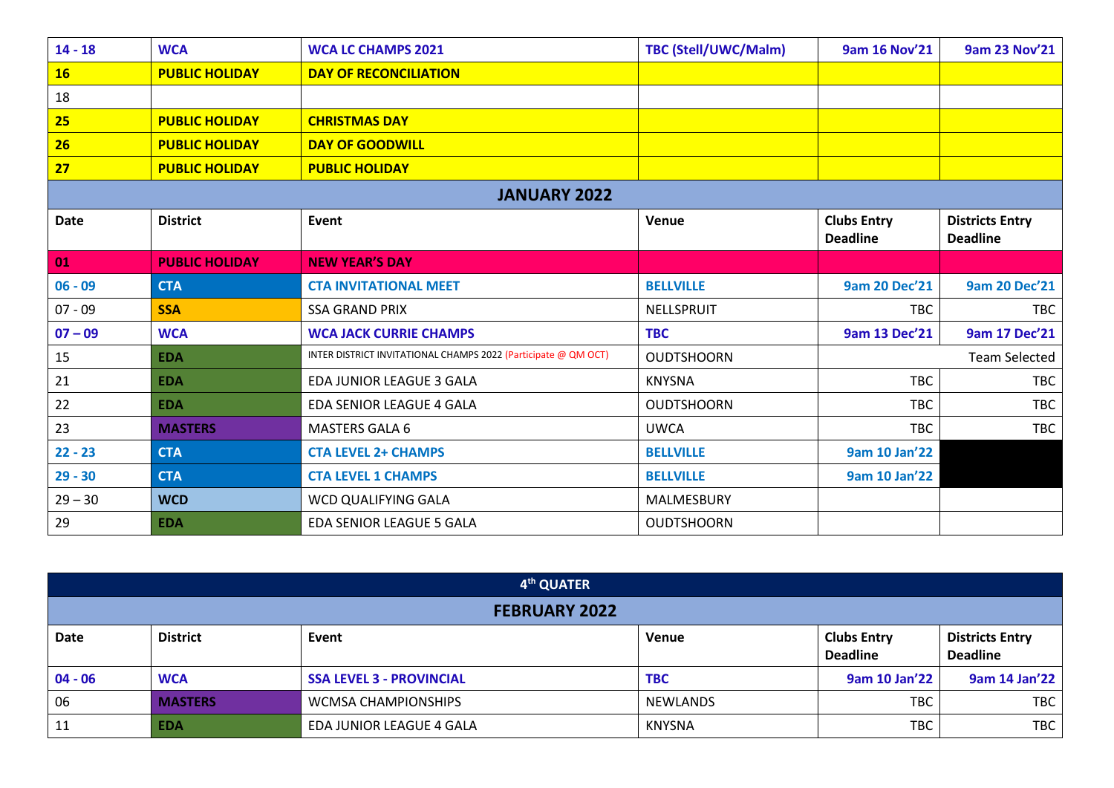| $14 - 18$   | <b>WCA</b>            | <b>WCA LC CHAMPS 2021</b>                                      | <b>TBC (Stell/UWC/Malm)</b> | 9am 16 Nov'21                         | 9am 23 Nov'21                             |
|-------------|-----------------------|----------------------------------------------------------------|-----------------------------|---------------------------------------|-------------------------------------------|
| <b>16</b>   | <b>PUBLIC HOLIDAY</b> | <b>DAY OF RECONCILIATION</b>                                   |                             |                                       |                                           |
| 18          |                       |                                                                |                             |                                       |                                           |
| 25          | <b>PUBLIC HOLIDAY</b> | <b>CHRISTMAS DAY</b>                                           |                             |                                       |                                           |
| 26          | <b>PUBLIC HOLIDAY</b> | <b>DAY OF GOODWILL</b>                                         |                             |                                       |                                           |
| 27          | <b>PUBLIC HOLIDAY</b> | <b>PUBLIC HOLIDAY</b>                                          |                             |                                       |                                           |
|             |                       | <b>JANUARY 2022</b>                                            |                             |                                       |                                           |
| <b>Date</b> | <b>District</b>       | Event                                                          | Venue                       | <b>Clubs Entry</b><br><b>Deadline</b> | <b>Districts Entry</b><br><b>Deadline</b> |
| 01          | <b>PUBLIC HOLIDAY</b> | <b>NEW YEAR'S DAY</b>                                          |                             |                                       |                                           |
| $06 - 09$   | <b>CTA</b>            | <b>CTA INVITATIONAL MEET</b>                                   | <b>BELLVILLE</b>            | <b>9am 20 Dec'21</b>                  | <b>9am 20 Dec'21</b>                      |
| $07 - 09$   | <b>SSA</b>            | <b>SSA GRAND PRIX</b>                                          | NELLSPRUIT                  | <b>TBC</b>                            | <b>TBC</b>                                |
| $07 - 09$   | <b>WCA</b>            | <b>WCA JACK CURRIE CHAMPS</b>                                  | <b>TBC</b>                  | 9am 13 Dec'21                         | 9am 17 Dec'21                             |
| 15          | <b>EDA</b>            | INTER DISTRICT INVITATIONAL CHAMPS 2022 (Participate @ QM OCT) | <b>OUDTSHOORN</b>           |                                       | <b>Team Selected</b>                      |
| 21          | <b>EDA</b>            | EDA JUNIOR LEAGUE 3 GALA                                       | <b>KNYSNA</b>               | <b>TBC</b>                            | TBC                                       |
| 22          | <b>EDA</b>            | EDA SENIOR LEAGUE 4 GALA                                       | <b>OUDTSHOORN</b>           | <b>TBC</b>                            | <b>TBC</b>                                |
| 23          | <b>MASTERS</b>        | <b>MASTERS GALA 6</b>                                          | <b>UWCA</b>                 | <b>TBC</b>                            | <b>TBC</b>                                |
| $22 - 23$   | <b>CTA</b>            | <b>CTA LEVEL 2+ CHAMPS</b>                                     | <b>BELLVILLE</b>            | <b>9am 10 Jan'22</b>                  |                                           |
| $29 - 30$   | <b>CTA</b>            | <b>CTA LEVEL 1 CHAMPS</b>                                      | <b>BELLVILLE</b>            | 9am 10 Jan'22                         |                                           |
| $29 - 30$   | <b>WCD</b>            | WCD QUALIFYING GALA                                            | <b>MALMESBURY</b>           |                                       |                                           |
| 29          | <b>EDA</b>            | EDA SENIOR LEAGUE 5 GALA                                       | <b>OUDTSHOORN</b>           |                                       |                                           |

|                      | 4 <sup>th</sup> QUATER |                                 |                 |                                       |                                           |  |  |  |  |  |  |
|----------------------|------------------------|---------------------------------|-----------------|---------------------------------------|-------------------------------------------|--|--|--|--|--|--|
| <b>FEBRUARY 2022</b> |                        |                                 |                 |                                       |                                           |  |  |  |  |  |  |
| Date                 | <b>District</b>        | Event                           | <b>Venue</b>    | <b>Clubs Entry</b><br><b>Deadline</b> | <b>Districts Entry</b><br><b>Deadline</b> |  |  |  |  |  |  |
| $04 - 06$            | <b>WCA</b>             | <b>SSA LEVEL 3 - PROVINCIAL</b> | <b>TBC</b>      | 9am 10 Jan'22                         | 9am 14 Jan'22                             |  |  |  |  |  |  |
| 06                   | <b>MASTERS</b>         | <b>WCMSA CHAMPIONSHIPS</b>      | <b>NEWLANDS</b> | <b>TBC</b>                            | TBC                                       |  |  |  |  |  |  |
| 11                   | <b>EDA</b>             | EDA JUNIOR LEAGUE 4 GALA        | <b>KNYSNA</b>   | <b>TBC</b>                            | TBC                                       |  |  |  |  |  |  |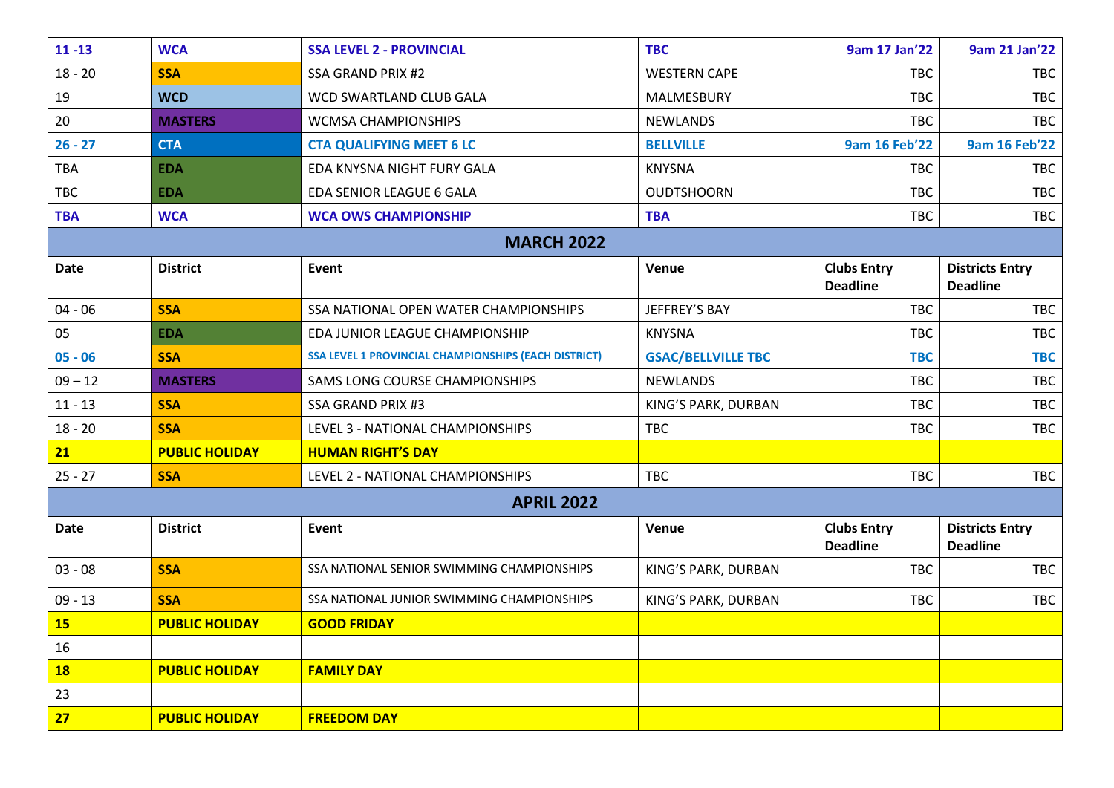| $11 - 13$   | <b>WCA</b>            | <b>SSA LEVEL 2 - PROVINCIAL</b>                      | <b>TBC</b>                | 9am 17 Jan'22                         | 9am 21 Jan'22                             |
|-------------|-----------------------|------------------------------------------------------|---------------------------|---------------------------------------|-------------------------------------------|
| $18 - 20$   | <b>SSA</b>            | <b>SSA GRAND PRIX #2</b>                             | <b>WESTERN CAPE</b>       | <b>TBC</b>                            | <b>TBC</b>                                |
| 19          | <b>WCD</b>            | WCD SWARTLAND CLUB GALA                              | <b>MALMESBURY</b>         | <b>TBC</b>                            | TBC                                       |
| 20          | <b>MASTERS</b>        | <b>WCMSA CHAMPIONSHIPS</b>                           | <b>NEWLANDS</b>           | <b>TBC</b>                            | <b>TBC</b>                                |
| $26 - 27$   | <b>CTA</b>            | <b>CTA QUALIFYING MEET 6 LC</b>                      | <b>BELLVILLE</b>          | <b>9am 16 Feb'22</b>                  | 9am 16 Feb'22                             |
| TBA         | <b>EDA</b>            | EDA KNYSNA NIGHT FURY GALA                           | <b>KNYSNA</b>             | TBC                                   | TBC                                       |
| <b>TBC</b>  | <b>EDA</b>            | <b>EDA SENIOR LEAGUE 6 GALA</b>                      | <b>OUDTSHOORN</b>         | <b>TBC</b>                            | <b>TBC</b>                                |
| <b>TBA</b>  | <b>WCA</b>            | <b>WCA OWS CHAMPIONSHIP</b>                          | <b>TBA</b>                | <b>TBC</b>                            | <b>TBC</b>                                |
|             |                       | <b>MARCH 2022</b>                                    |                           |                                       |                                           |
| <b>Date</b> | <b>District</b>       | Event                                                | Venue                     | <b>Clubs Entry</b><br><b>Deadline</b> | <b>Districts Entry</b><br><b>Deadline</b> |
| $04 - 06$   | <b>SSA</b>            | SSA NATIONAL OPEN WATER CHAMPIONSHIPS                | JEFFREY'S BAY             | <b>TBC</b>                            | TBC                                       |
| 05          | <b>EDA</b>            | EDA JUNIOR LEAGUE CHAMPIONSHIP                       | <b>KNYSNA</b>             | <b>TBC</b>                            | <b>TBC</b>                                |
| $05 - 06$   | <b>SSA</b>            | SSA LEVEL 1 PROVINCIAL CHAMPIONSHIPS (EACH DISTRICT) | <b>GSAC/BELLVILLE TBC</b> | <b>TBC</b>                            | <b>TBC</b>                                |
| $09 - 12$   | <b>MASTERS</b>        | SAMS LONG COURSE CHAMPIONSHIPS                       | <b>NEWLANDS</b>           | <b>TBC</b>                            | <b>TBC</b>                                |
| $11 - 13$   | <b>SSA</b>            | <b>SSA GRAND PRIX #3</b>                             | KING'S PARK, DURBAN       | <b>TBC</b>                            | TBC                                       |
| $18 - 20$   | <b>SSA</b>            | LEVEL 3 - NATIONAL CHAMPIONSHIPS                     | <b>TBC</b>                | <b>TBC</b>                            | TBC                                       |
| 21          | <b>PUBLIC HOLIDAY</b> | <b>HUMAN RIGHT'S DAY</b>                             |                           |                                       |                                           |
| $25 - 27$   | <b>SSA</b>            | LEVEL 2 - NATIONAL CHAMPIONSHIPS                     | <b>TBC</b>                | <b>TBC</b>                            | <b>TBC</b>                                |
|             |                       | <b>APRIL 2022</b>                                    |                           |                                       |                                           |
| <b>Date</b> | <b>District</b>       | Event                                                | Venue                     | <b>Clubs Entry</b><br><b>Deadline</b> | <b>Districts Entry</b><br><b>Deadline</b> |
| $03 - 08$   | <b>SSA</b>            | SSA NATIONAL SENIOR SWIMMING CHAMPIONSHIPS           | KING'S PARK, DURBAN       | <b>TBC</b>                            | TBC                                       |
| $09 - 13$   | <b>SSA</b>            | SSA NATIONAL JUNIOR SWIMMING CHAMPIONSHIPS           | KING'S PARK, DURBAN       | <b>TBC</b>                            | TBC                                       |
| <b>15</b>   | <b>PUBLIC HOLIDAY</b> | <b>GOOD FRIDAY</b>                                   |                           |                                       |                                           |
| 16          |                       |                                                      |                           |                                       |                                           |
| <b>18</b>   | <b>PUBLIC HOLIDAY</b> | <b>FAMILY DAY</b>                                    |                           |                                       |                                           |
| 23          |                       |                                                      |                           |                                       |                                           |
| 27          | <b>PUBLIC HOLIDAY</b> | <b>FREEDOM DAY</b>                                   |                           |                                       |                                           |